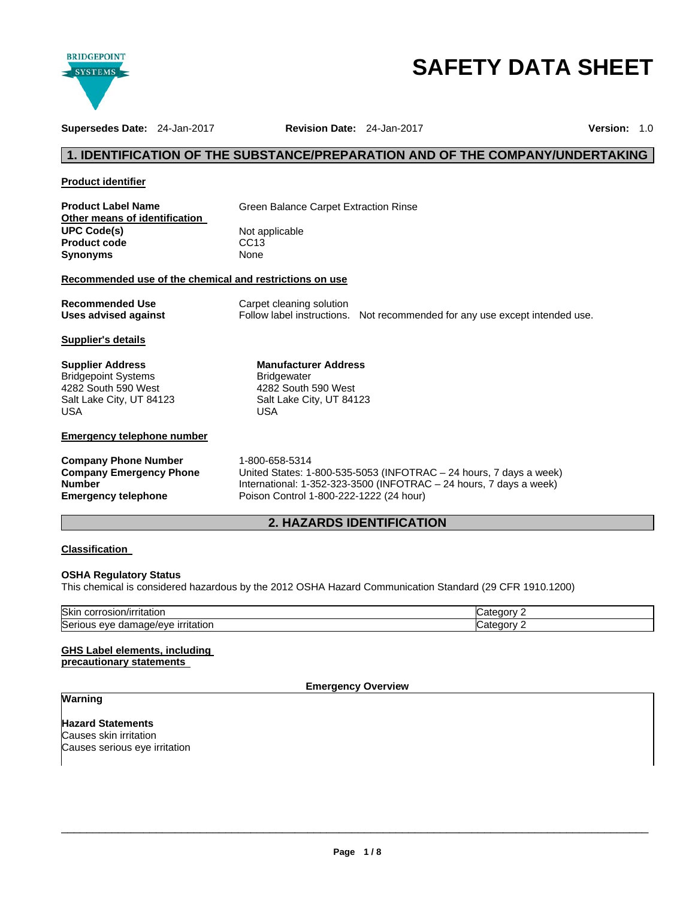

# **SAFETY DATA SHEET**

**Supersedes Date:** 24-Jan-2017 **Revision Date:** 24-Jan-2017 **Version:** 1.0

# **1. IDENTIFICATION OF THE SUBSTANCE/PREPARATION AND OF THE COMPANY/UNDERTAKING**

| <b>Product identifier</b> |  |
|---------------------------|--|
|                           |  |

| <b>Product Label Name</b>     |  |
|-------------------------------|--|
| Other means of identification |  |
| <b>UPC Code(s)</b>            |  |
| <b>Product code</b>           |  |
| Synonyms                      |  |

**Green Balance Carpet Extraction Rinse** 

**Not applicable CC13 Synonyms** None

# **Recommended use of the chemical and restrictions on use**

| <b>Recommended Use</b> | Carpet cleaning solution |                                                                             |
|------------------------|--------------------------|-----------------------------------------------------------------------------|
| Uses advised against   |                          | Follow label instructions. Not recommended for any use except intended use. |

**Manufacturer Address**

4282 South 590 West Salt Lake City, UT 84123

**Bridgewater** 

USA

# **Supplier's details**

| Supplier Address           |
|----------------------------|
| <b>Bridgepoint Systems</b> |
| 4282 South 590 West        |
| Salt Lake City, UT 84123   |
| USA                        |

# **Emergency telephone number**

**Company Phone Number** 1-800-658-5314 **Company Emergency Phone Number** 

United States: 1-800-535-5053 (INFOTRAC – 24 hours, 7 days a week)

International: 1-352-323-3500 (INFOTRAC – 24 hours, 7 days a week) **Emergency telephone** Poison Control 1-800-222-1222 (24 hour)

# **2. HAZARDS IDENTIFICATION**

# **Classification**

# **OSHA Regulatory Status**

This chemical is considered hazardous by the 2012 OSHA Hazard Communication Standard (29 CFR 1910.1200)

| Skir<br>$-1.0001 + 0.0000$<br>ritatior<br>JOLL.<br>asıoe                   | דר |  |
|----------------------------------------------------------------------------|----|--|
| $\sim$<br>.<br><b>irritation</b><br>Seric<br><b>AVE</b><br>oai<br>нач<br>… | יי |  |

# **GHS Label elements, including**

**precautionary statements** 

# **Emergency Overview**

# **Warning**

**Hazard Statements** Causes skin irritation Causes serious eye irritation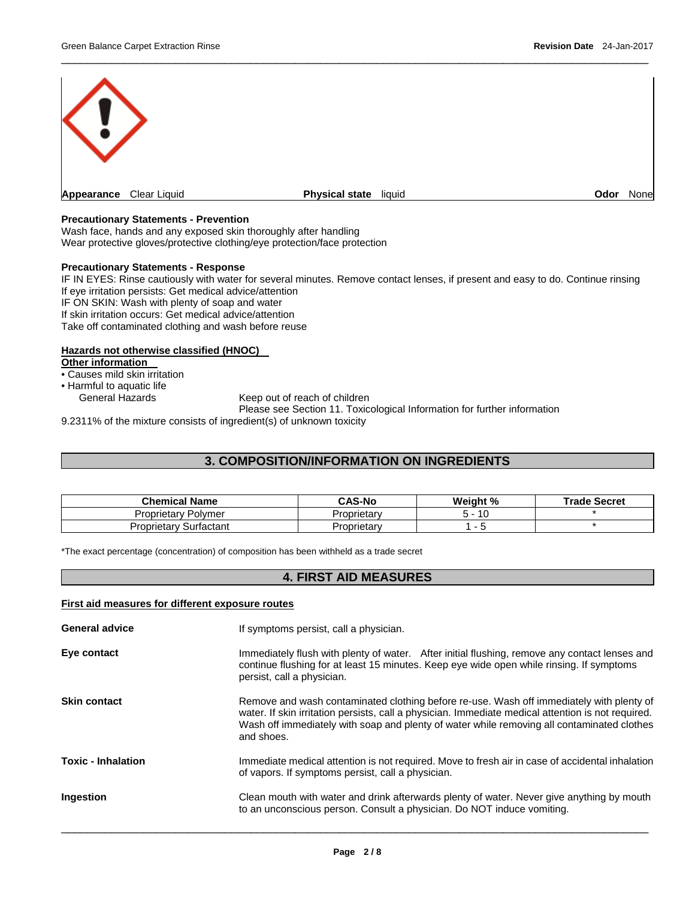

 $\overline{\phantom{a}}$  , and the set of the set of the set of the set of the set of the set of the set of the set of the set of the set of the set of the set of the set of the set of the set of the set of the set of the set of the s

# **Precautionary Statements - Prevention**

Wash face, hands and any exposed skin thoroughly after handling Wear protective gloves/protective clothing/eye protection/face protection

# **Precautionary Statements - Response**

IF IN EYES: Rinse cautiously with water for several minutes. Remove contact lenses, if present and easy to do. Continue rinsing If eye irritation persists: Get medical advice/attention IF ON SKIN: Wash with plenty of soap and water If skin irritation occurs: Get medical advice/attention Take off contaminated clothing and wash before reuse

# **Hazards not otherwise classified (HNOC)**

**Other information** 

• Causes mild skin irritation

• Harmful to aquatic life

Keep out of reach of children

Please see Section 11. Toxicological Information for further information

9.2311% of the mixture consists of ingredient(s) of unknown toxicity

# **3. COMPOSITION/INFORMATION ON INGREDIENTS**

| <b>Chemical Name</b>      | <b>CAS-No</b> | Weight % | <b>Trade Secret</b> |
|---------------------------|---------------|----------|---------------------|
| -<br>Proprietary Polymer  | Proprietarv   | 10       |                     |
| Proprietary<br>Surfactant | Proprietary   | -        |                     |

\*The exact percentage (concentration) of composition has been withheld as a trade secret

# **4. FIRST AID MEASURES**

| First aid measures for different exposure routes |                                                                                                                                                                                                                                                                                                            |  |  |
|--------------------------------------------------|------------------------------------------------------------------------------------------------------------------------------------------------------------------------------------------------------------------------------------------------------------------------------------------------------------|--|--|
| <b>General advice</b>                            | If symptoms persist, call a physician.                                                                                                                                                                                                                                                                     |  |  |
| Eye contact                                      | Immediately flush with plenty of water. After initial flushing, remove any contact lenses and<br>continue flushing for at least 15 minutes. Keep eye wide open while rinsing. If symptoms<br>persist, call a physician.                                                                                    |  |  |
| <b>Skin contact</b>                              | Remove and wash contaminated clothing before re-use. Wash off immediately with plenty of<br>water. If skin irritation persists, call a physician. Immediate medical attention is not required.<br>Wash off immediately with soap and plenty of water while removing all contaminated clothes<br>and shoes. |  |  |
| <b>Toxic - Inhalation</b>                        | Immediate medical attention is not required. Move to fresh air in case of accidental inhalation<br>of vapors. If symptoms persist, call a physician.                                                                                                                                                       |  |  |
| Ingestion                                        | Clean mouth with water and drink afterwards plenty of water. Never give anything by mouth<br>to an unconscious person. Consult a physician. Do NOT induce vomiting.                                                                                                                                        |  |  |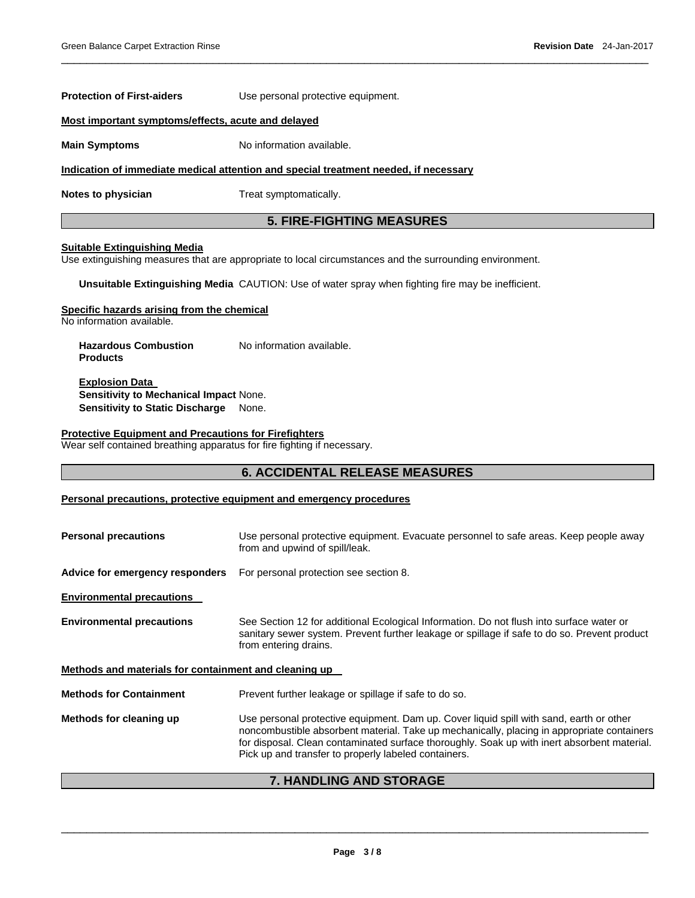# **Most important symptoms/effects, acute and delayed Main Symptoms No information available. Indication of immediate medical attention and special treatment needed, if necessary Notes to physician Treat symptomatically. 5. FIRE-FIGHTING MEASURES**

### **Suitable Extinguishing Media**

Use extinguishing measures that are appropriate to local circumstances and the surrounding environment.

**Unsuitable Extinguishing Media** CAUTION: Use of water spray when fighting fire may be inefficient.

### **Specific hazards arising from the chemical**

No information available.

**Hazardous Combustion Products**  No information available.

**Protection of First-aiders** Use personal protective equipment.

**Explosion Data Sensitivity to Mechanical Impact** None. **Sensitivity to Static Discharge** None.

## **Protective Equipment and Precautions for Firefighters**

Wear self contained breathing apparatus for fire fighting if necessary.

# **6. ACCIDENTAL RELEASE MEASURES**

 $\overline{\phantom{a}}$  , and the set of the set of the set of the set of the set of the set of the set of the set of the set of the set of the set of the set of the set of the set of the set of the set of the set of the set of the s

# **Personal precautions, protective equipment and emergency procedures**

| <b>Personal precautions</b>                           | Use personal protective equipment. Evacuate personnel to safe areas. Keep people away<br>from and upwind of spill/leak.                                                                                                                                                                                                                      |  |  |
|-------------------------------------------------------|----------------------------------------------------------------------------------------------------------------------------------------------------------------------------------------------------------------------------------------------------------------------------------------------------------------------------------------------|--|--|
| Advice for emergency responders                       | For personal protection see section 8.                                                                                                                                                                                                                                                                                                       |  |  |
| <b>Environmental precautions</b>                      |                                                                                                                                                                                                                                                                                                                                              |  |  |
| <b>Environmental precautions</b>                      | See Section 12 for additional Ecological Information. Do not flush into surface water or<br>sanitary sewer system. Prevent further leakage or spillage if safe to do so. Prevent product<br>from entering drains.                                                                                                                            |  |  |
| Methods and materials for containment and cleaning up |                                                                                                                                                                                                                                                                                                                                              |  |  |
| <b>Methods for Containment</b>                        | Prevent further leakage or spillage if safe to do so.                                                                                                                                                                                                                                                                                        |  |  |
| Methods for cleaning up                               | Use personal protective equipment. Dam up. Cover liquid spill with sand, earth or other<br>noncombustible absorbent material. Take up mechanically, placing in appropriate containers<br>for disposal. Clean contaminated surface thoroughly. Soak up with inert absorbent material.<br>Pick up and transfer to properly labeled containers. |  |  |

# **7. HANDLING AND STORAGE**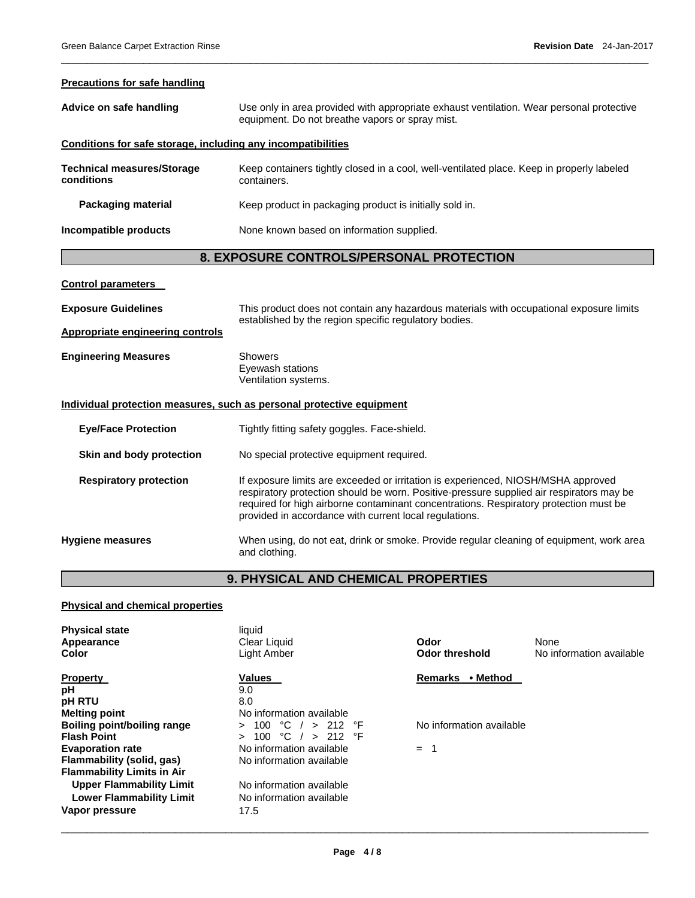## **Precautions for safe handling**

| Advice on safe handling                                      | Use only in area provided with appropriate exhaust ventilation. Wear personal protective<br>equipment. Do not breathe vapors or spray mist.      |  |  |
|--------------------------------------------------------------|--------------------------------------------------------------------------------------------------------------------------------------------------|--|--|
| Conditions for safe storage, including any incompatibilities |                                                                                                                                                  |  |  |
| <b>Technical measures/Storage</b><br>conditions              | Keep containers tightly closed in a cool, well-ventilated place. Keep in properly labeled<br>containers.                                         |  |  |
| <b>Packaging material</b>                                    | Keep product in packaging product is initially sold in.                                                                                          |  |  |
| Incompatible products                                        | None known based on information supplied.                                                                                                        |  |  |
| 8. EXPOSURE CONTROLS/PERSONAL PROTECTION                     |                                                                                                                                                  |  |  |
| <b>Control parameters</b>                                    |                                                                                                                                                  |  |  |
| <b>Exposure Guidelines</b>                                   | This product does not contain any hazardous materials with occupational exposure limits<br>established by the region specific regulatory bodies. |  |  |

 $\overline{\phantom{a}}$  , and the set of the set of the set of the set of the set of the set of the set of the set of the set of the set of the set of the set of the set of the set of the set of the set of the set of the set of the s

# **Appropriate engineering controls**

| <b>Engineering Measures</b> | Showers              |
|-----------------------------|----------------------|
|                             | Eyewash stations     |
|                             | Ventilation systems. |

# **Individual protection measures, such as personal protective equipment**

**Eye/Face Protection Tightly fitting safety goggles. Face-shield.** 

**Skin and body protection** No special protective equipment required.

**Respiratory protection** If exposure limits are exceeded or irritation is experienced, NIOSH/MSHA approved respiratory protection should be worn. Positive-pressure supplied air respirators may be required for high airborne contaminant concentrations. Respiratory protection must be provided in accordance with current local regulations.

**Hygiene measures** When using, do not eat, drink or smoke. Provide regular cleaning of equipment, work area and clothing.

# **9. PHYSICAL AND CHEMICAL PROPERTIES**

# **Physical and chemical properties**

| <b>Physical state</b><br>Appearance<br><b>Color</b> | liquid<br>Clear Liquid<br>Light Amber  | Odor<br>Odor threshold     | None<br>No information available |
|-----------------------------------------------------|----------------------------------------|----------------------------|----------------------------------|
| <b>Property</b>                                     | <b>Values</b>                          | • Method<br><b>Remarks</b> |                                  |
| рH                                                  | 9.0                                    |                            |                                  |
| <b>pH RTU</b>                                       | 8.0                                    |                            |                                  |
| <b>Melting point</b>                                | No information available               |                            |                                  |
| Boiling point/boiling range                         | $\degree$ C / > 212 $\degree$ F<br>100 | No information available   |                                  |
| <b>Flash Point</b>                                  | °C / > 212 °F<br>100                   |                            |                                  |
| <b>Evaporation rate</b>                             | No information available               | -1<br>$=$                  |                                  |
| Flammability (solid, gas)                           | No information available               |                            |                                  |
| <b>Flammability Limits in Air</b>                   |                                        |                            |                                  |
| <b>Upper Flammability Limit</b>                     | No information available               |                            |                                  |
| <b>Lower Flammability Limit</b>                     | No information available               |                            |                                  |
| Vapor pressure                                      | 17.5                                   |                            |                                  |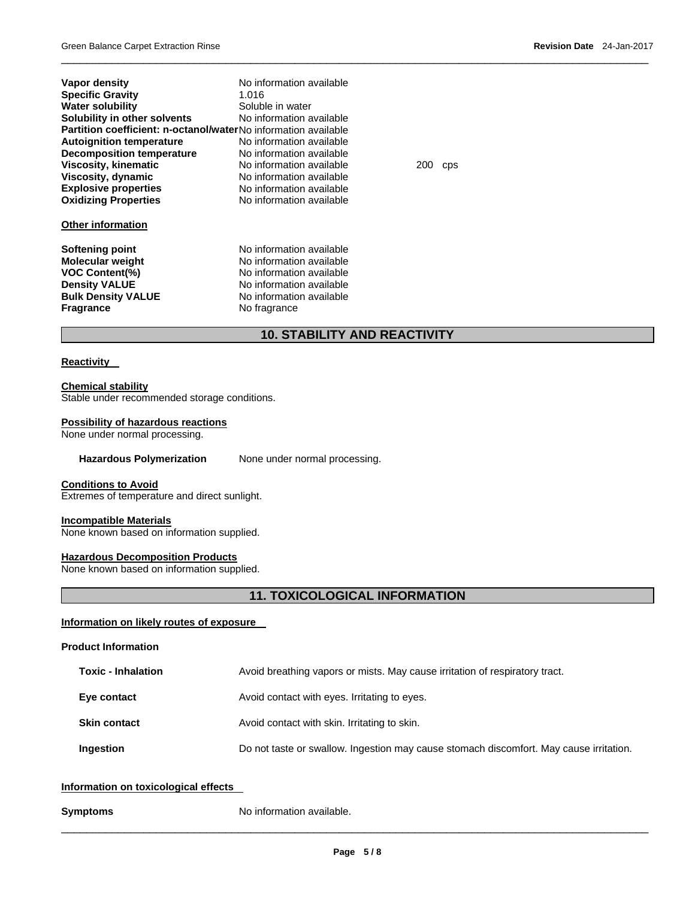| Vapor density                                                  | No information available |     |                  |  |
|----------------------------------------------------------------|--------------------------|-----|------------------|--|
| <b>Specific Gravity</b>                                        | 1.016                    |     |                  |  |
| <b>Water solubility</b>                                        | Soluble in water         |     |                  |  |
| Solubility in other solvents                                   | No information available |     |                  |  |
| Partition coefficient: n-octanol/waterNo information available |                          |     |                  |  |
| <b>Autoignition temperature</b>                                | No information available |     |                  |  |
| <b>Decomposition temperature</b>                               | No information available |     |                  |  |
| Viscosity, kinematic                                           | No information available | 200 | C <sub>p</sub> s |  |
| Viscosity, dynamic                                             | No information available |     |                  |  |
| <b>Explosive properties</b>                                    | No information available |     |                  |  |
| <b>Oxidizing Properties</b>                                    | No information available |     |                  |  |
| <b>Other information</b>                                       |                          |     |                  |  |
| Softening point                                                | No information available |     |                  |  |
| Molecular weight                                               | No information available |     |                  |  |
| <b>VOC Content(%)</b>                                          | No information available |     |                  |  |
| <b>Density VALUE</b>                                           | No information available |     |                  |  |
| <b>Bulk Density VALUE</b>                                      | No information available |     |                  |  |
| Fragrance                                                      | No fragrance             |     |                  |  |
| <b>10. STABILITY AND REACTIVITY</b>                            |                          |     |                  |  |

# **Reactivity**

**Chemical stability** Stable under recommended storage conditions.

# **Possibility of hazardous reactions**

None under normal processing.

Hazardous Polymerization None under normal processing.

# **Conditions to Avoid**

Extremes of temperature and direct sunlight.

# **Incompatible Materials**

None known based on information supplied.

# **Hazardous Decomposition Products**

None known based on information supplied.

# **11. TOXICOLOGICAL INFORMATION**

 $\overline{\phantom{a}}$  , and the set of the set of the set of the set of the set of the set of the set of the set of the set of the set of the set of the set of the set of the set of the set of the set of the set of the set of the s

# **Information on likely routes of exposure**

### **Product Information**

| <b>Toxic - Inhalation</b> | Avoid breathing vapors or mists. May cause irritation of respiratory tract.            |  |  |  |  |  |
|---------------------------|----------------------------------------------------------------------------------------|--|--|--|--|--|
| Eye contact               | Avoid contact with eyes. Irritating to eyes.                                           |  |  |  |  |  |
| <b>Skin contact</b>       | Avoid contact with skin. Irritating to skin.                                           |  |  |  |  |  |
| Ingestion                 | Do not taste or swallow. Ingestion may cause stomach discomfort. May cause irritation. |  |  |  |  |  |

# **Information on toxicological effects**

**Symptoms No information available.**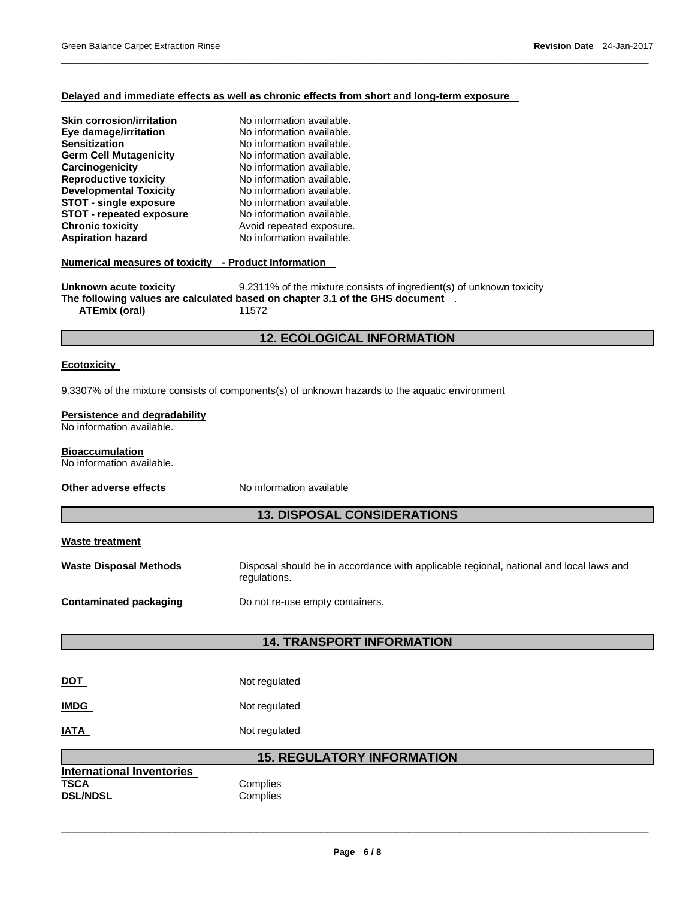# **Delayed and immediate effects as well as chronic effects from short and long-term exposure**

 $\overline{\phantom{a}}$  , and the set of the set of the set of the set of the set of the set of the set of the set of the set of the set of the set of the set of the set of the set of the set of the set of the set of the set of the s

| <b>Skin corrosion/irritation</b><br>Eye damage/irritation<br><b>Sensitization</b><br><b>Germ Cell Mutagenicity</b><br>Carcinogenicity<br><b>Reproductive toxicity</b><br><b>Developmental Toxicity</b><br><b>STOT - single exposure</b><br><b>STOT - repeated exposure</b><br><b>Chronic toxicity</b><br><b>Aspiration hazard</b><br>Numerical measures of toxicity - Product Information<br>Unknown acute toxicity | No information available.<br>No information available.<br>No information available.<br>No information available.<br>No information available.<br>No information available.<br>No information available.<br>No information available.<br>No information available.<br>Avoid repeated exposure.<br>No information available.<br>9.2311% of the mixture consists of ingredient(s) of unknown toxicity |  |  |  |  |  |  |  |
|---------------------------------------------------------------------------------------------------------------------------------------------------------------------------------------------------------------------------------------------------------------------------------------------------------------------------------------------------------------------------------------------------------------------|----------------------------------------------------------------------------------------------------------------------------------------------------------------------------------------------------------------------------------------------------------------------------------------------------------------------------------------------------------------------------------------------------|--|--|--|--|--|--|--|
| The following values are calculated based on chapter 3.1 of the GHS document .<br><b>ATEmix (oral)</b><br>11572                                                                                                                                                                                                                                                                                                     |                                                                                                                                                                                                                                                                                                                                                                                                    |  |  |  |  |  |  |  |
| <b>12. ECOLOGICAL INFORMATION</b>                                                                                                                                                                                                                                                                                                                                                                                   |                                                                                                                                                                                                                                                                                                                                                                                                    |  |  |  |  |  |  |  |
| <b>Ecotoxicity</b>                                                                                                                                                                                                                                                                                                                                                                                                  |                                                                                                                                                                                                                                                                                                                                                                                                    |  |  |  |  |  |  |  |
|                                                                                                                                                                                                                                                                                                                                                                                                                     | 9.3307% of the mixture consists of components(s) of unknown hazards to the aquatic environment                                                                                                                                                                                                                                                                                                     |  |  |  |  |  |  |  |
| Persistence and degradability<br>No information available.                                                                                                                                                                                                                                                                                                                                                          |                                                                                                                                                                                                                                                                                                                                                                                                    |  |  |  |  |  |  |  |
| <b>Bioaccumulation</b><br>No information available.                                                                                                                                                                                                                                                                                                                                                                 |                                                                                                                                                                                                                                                                                                                                                                                                    |  |  |  |  |  |  |  |
| Other adverse effects                                                                                                                                                                                                                                                                                                                                                                                               | No information available                                                                                                                                                                                                                                                                                                                                                                           |  |  |  |  |  |  |  |
|                                                                                                                                                                                                                                                                                                                                                                                                                     | <b>13. DISPOSAL CONSIDERATIONS</b>                                                                                                                                                                                                                                                                                                                                                                 |  |  |  |  |  |  |  |
| <b>Waste treatment</b>                                                                                                                                                                                                                                                                                                                                                                                              |                                                                                                                                                                                                                                                                                                                                                                                                    |  |  |  |  |  |  |  |
| <b>Waste Disposal Methods</b>                                                                                                                                                                                                                                                                                                                                                                                       | Disposal should be in accordance with applicable regional, national and local laws and<br>regulations.                                                                                                                                                                                                                                                                                             |  |  |  |  |  |  |  |
| <b>Contaminated packaging</b>                                                                                                                                                                                                                                                                                                                                                                                       | Do not re-use empty containers.                                                                                                                                                                                                                                                                                                                                                                    |  |  |  |  |  |  |  |
| <b>14. TRANSPORT INFORMATION</b>                                                                                                                                                                                                                                                                                                                                                                                    |                                                                                                                                                                                                                                                                                                                                                                                                    |  |  |  |  |  |  |  |
|                                                                                                                                                                                                                                                                                                                                                                                                                     |                                                                                                                                                                                                                                                                                                                                                                                                    |  |  |  |  |  |  |  |
| <b>DOT</b>                                                                                                                                                                                                                                                                                                                                                                                                          | Not regulated                                                                                                                                                                                                                                                                                                                                                                                      |  |  |  |  |  |  |  |
| <b>IMDG</b>                                                                                                                                                                                                                                                                                                                                                                                                         | Not regulated                                                                                                                                                                                                                                                                                                                                                                                      |  |  |  |  |  |  |  |
| <b>IATA</b>                                                                                                                                                                                                                                                                                                                                                                                                         | Not regulated                                                                                                                                                                                                                                                                                                                                                                                      |  |  |  |  |  |  |  |
| <b>15. REGULATORY INFORMATION</b>                                                                                                                                                                                                                                                                                                                                                                                   |                                                                                                                                                                                                                                                                                                                                                                                                    |  |  |  |  |  |  |  |
| <b>International Inventories</b><br><b>TSCA</b><br><b>DSL/NDSL</b>                                                                                                                                                                                                                                                                                                                                                  | Complies<br>Complies                                                                                                                                                                                                                                                                                                                                                                               |  |  |  |  |  |  |  |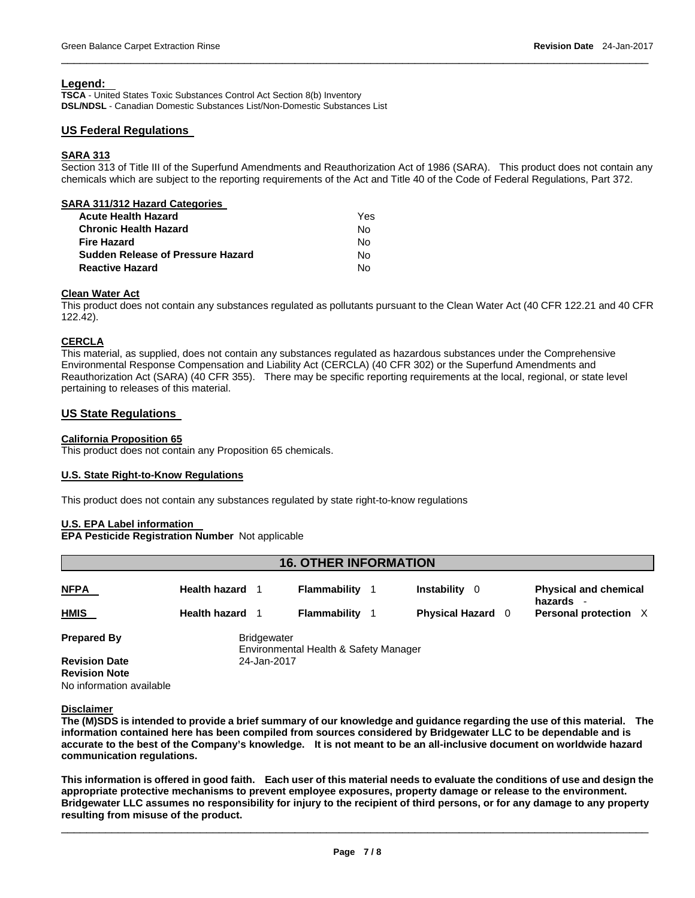# **Legend:**

**TSCA** - United States Toxic Substances Control Act Section 8(b) Inventory **DSL/NDSL** - Canadian Domestic Substances List/Non-Domestic Substances List

# **US Federal Regulations**

# **SARA 313**

Section 313 of Title III of the Superfund Amendments and Reauthorization Act of 1986 (SARA). This product does not contain any chemicals which are subject to the reporting requirements of the Act and Title 40 of the Code of Federal Regulations, Part 372.

 $\overline{\phantom{a}}$  , and the set of the set of the set of the set of the set of the set of the set of the set of the set of the set of the set of the set of the set of the set of the set of the set of the set of the set of the s

| SARA 311/312 Hazard Categories           |     |
|------------------------------------------|-----|
| <b>Acute Health Hazard</b>               | Yes |
| <b>Chronic Health Hazard</b>             | No  |
| Fire Hazard                              | No  |
| <b>Sudden Release of Pressure Hazard</b> | No  |
| <b>Reactive Hazard</b>                   | N٥  |
|                                          |     |

# **Clean Water Act**

This product does not contain any substances regulated as pollutants pursuant to the Clean Water Act (40 CFR 122.21 and 40 CFR 122.42).

# **CERCLA**

This material, as supplied, does not contain any substances regulated as hazardous substances under the Comprehensive Environmental Response Compensation and Liability Act (CERCLA) (40 CFR 302) or the Superfund Amendments and Reauthorization Act (SARA) (40 CFR 355). There may be specific reporting requirements at the local, regional, or state level pertaining to releases of this material.

# **US State Regulations**

# **California Proposition 65**

This product does not contain any Proposition 65 chemicals.

# **U.S. State Right-to-Know Regulations**

This product does not contain any substances regulated by state right-to-know regulations

# **U.S. EPA Label information**

**EPA Pesticide Registration Number** Not applicable

| <b>16. OTHER INFORMATION</b> |                        |                    |                                       |  |                          |  |                                         |  |  |
|------------------------------|------------------------|--------------------|---------------------------------------|--|--------------------------|--|-----------------------------------------|--|--|
| <b>NFPA</b>                  | <b>Health hazard</b>   |                    | Flammability                          |  | Instability 0            |  | <b>Physical and chemical</b><br>hazards |  |  |
| HMIS                         | <b>Health hazard</b> 1 |                    | Flammability                          |  | <b>Physical Hazard</b> 0 |  | Personal protection X                   |  |  |
| <b>Prepared By</b>           |                        | <b>Bridgewater</b> | Environmental Health & Safety Manager |  |                          |  |                                         |  |  |
| <b>Revision Date</b>         |                        | 24-Jan-2017        |                                       |  |                          |  |                                         |  |  |
| <b>Revision Note</b>         |                        |                    |                                       |  |                          |  |                                         |  |  |
| No information available     |                        |                    |                                       |  |                          |  |                                         |  |  |

### **Disclaimer**

**The (M)SDS is intended to provide a brief summary of our knowledge and guidance regarding the use of this material. The information contained here has been compiled from sources considered by Bridgewater LLC to be dependable and is accurate to the best of the Company's knowledge. It is not meant to be an all-inclusive document on worldwide hazard communication regulations.** 

**This information is offered in good faith. Each user of this material needs to evaluate the conditions of use and design the appropriate protective mechanisms to prevent employee exposures, property damage or release to the environment. Bridgewater LLC assumes no responsibility for injury to the recipient of third persons, or for any damage to any property resulting from misuse of the product.**